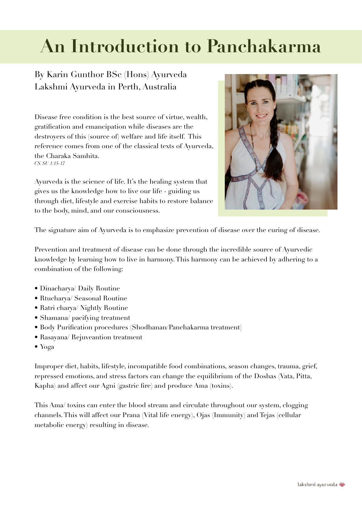# **An Introduction to Panchakarma**

# By Karin Gunthor BSc (Hons) Ayurveda Lakshmi Ayurveda in Perth, Australia

Disease free condition is the best source of virtue, wealth, gratification and emancipation while diseases are the destroyers of this (source of) welfare and life itself. This reference comes from one of the classical texts of Ayurveda, the Charaka Samhita. *CS. SU 1:15-17* 

Ayurveda is the science of life. It's the healing system that gives us the knowledge how to live our life - guiding us through diet, lifestyle and exercise habits to restore balance to the body, mind, and our consciousness.



The signature aim of Ayurveda is to emphasize prevention of disease over the curing of disease.

Prevention and treatment of disease can be done through the incredible source of Ayurvedic knowledge by learning how to live in harmony. This harmony can be achieved by adhering to a combination of the following:

- Dinacharya/ Daily Routine
- Rtucharya/ Seasonal Routine
- Ratri charya/ Nightly Routine
- Shamana/ pacifying treatment
- Body Purification procedures (Shodhanan/Panchakarma treatment)
- Rasayana/ Rejuveantion treatment
- Yoga

Improper diet, habits, lifestyle, incompatible food combinations, season changes, trauma, grief, repressed emotions, and stress factors can change the equilibrium of the Doshas (Vata, Pitta, Kapha) and affect our Agni (gastric fire) and produce Ama (toxins).

This Ama/ toxins can enter the blood stream and circulate throughout our system, clogging channels. This will affect our Prana (Vital life energy), Ojas (Immunity) and Tejas (cellular metabolic energy) resulting in disease.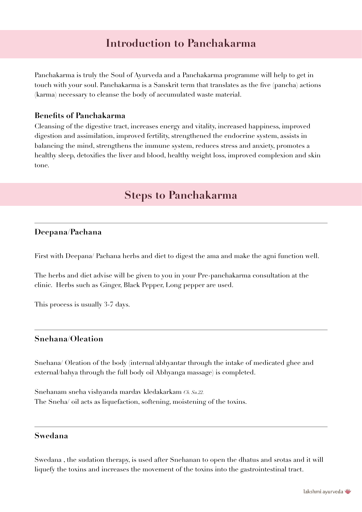# **Introduction to Panchakarma**

Panchakarma is truly the Soul of Ayurveda and a Panchakarma programme will help to get in touch with your soul. Panchakarma is a Sanskrit term that translates as the five (pancha) actions (karma) necessary to cleanse the body of accumulated waste material.

## **Benefits of Panchakarma**

Cleansing of the digestive tract, increases energy and vitality, increased happiness, improved digestion and assimilation, improved fertility, strengthened the endocrine system, assists in balancing the mind, strengthens the immune system, reduces stress and anxiety, promotes a healthy sleep, detoxifies the liver and blood, healthy weight loss, improved complexion and skin tone.

# **Steps to Panchakarma**

# **Deepana/Pachana**

First with Deepana/ Pachana herbs and diet to digest the ama and make the agni function well.

The herbs and diet advise will be given to you in your Pre-panchakarma consultation at the clinic. Herbs such as Ginger, Black Pepper, Long pepper are used.

This process is usually 3-7 days.

## **Snehana/Oleation**

Snehana/ Oleation of the body (internal/abhyantar through the intake of medicated ghee and external/bahya through the full body oil Abhyanga massage) is completed.

Snehanam sneha vishyanda mardav kledakarkam *Ch. Su.22.*  The Sneha/ oil acts as liquefaction, softening, moistening of the toxins.

# **Swedana**

Swedana , the sudation therapy, is used after Snehanan to open the dhatus and srotas and it will liquefy the toxins and increases the movement of the toxins into the gastrointestinal tract.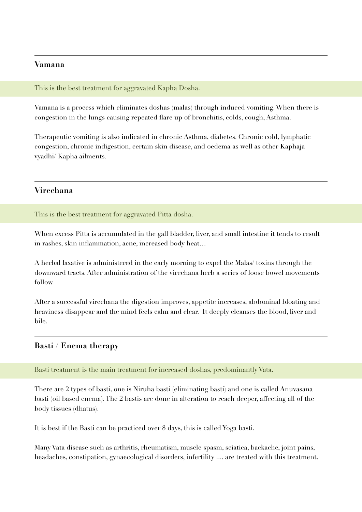## **Vamana**

#### This is the best treatment for aggravated Kapha Dosha.

Vamana is a process which eliminates doshas (malas) through induced vomiting. When there is congestion in the lungs causing repeated flare up of bronchitis, colds, cough, Asthma.

Therapeutic vomiting is also indicated in chronic Asthma, diabetes. Chronic cold, lymphatic congestion, chronic indigestion, certain skin disease, and oedema as well as other Kaphaja vyadhi/ Kapha ailments.

## **Virechana**

This is the best treatment for aggravated Pitta dosha.

When excess Pitta is accumulated in the gall bladder, liver, and small intestine it tends to result in rashes, skin inflammation, acne, increased body heat…

A herbal laxative is administered in the early morning to expel the Malas/ toxins through the downward tracts. After administration of the virechana herb a series of loose bowel movements follow.

After a successful virechana the digestion improves, appetite increases, abdominal bloating and heaviness disappear and the mind feels calm and clear. It deeply cleanses the blood, liver and bile.

## **Basti / Enema therapy**

#### Basti treatment is the main treatment for increased doshas, predominantly Vata.

There are 2 types of basti, one is Niruha basti (eliminating basti) and one is called Anuvasana basti (oil based enema). The 2 bastis are done in alteration to reach deeper, affecting all of the body tissues (dhatus).

It is best if the Basti can be practiced over 8 days, this is called Yoga basti.

Many Vata disease such as arthritis, rheumatism, muscle spasm, sciatica, backache, joint pains, headaches, constipation, gynaecological disorders, infertility .... are treated with this treatment.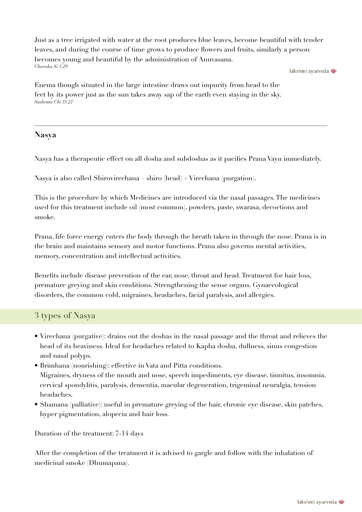Just as a tree irrigated with water at the root produces blue leaves, become beautiful with tender leaves, and during the course of time grows to produce flowers and fruits, similarly a person becomes young and beautiful by the administration of Anuvasana. *Charaka Si 1:29*

lakshmi avurveda

Enema though situated in the large intestine draws out impurity from head to the feet by its power just as the sun takes away sap of the earth even staying in the sky. *Sushruta Chi 35:27*

# **Nasya**

Nasya has a therapeutic effect on all dosha and subdoshas as it pacifies Prana Vayu immediately.

Nasya is also called Shirovirechana – shiro (head) + Virechana (purgation).

This is the procedure by which Medicines are introduced via the nasal passages. The medicines used for this treatment include oil (most common), powders, paste, swarasa, decoctions and smoke.

Prana, life force energy enters the body through the breath taken in through the nose. Prana is in the brain and maintains sensory and motor functions. Prana also governs mental activities, memory, concentration and intellectual activities.

Benefits include disease prevention of the ear, nose, throat and head. Treatment for hair loss, premature greying and skin conditions. Strengthening the sense organs. Gynaecological disorders, the common cold, migraines, headaches, facial paralysis, and allergies.

# 3 types of Nasya

- Virechana (purgative): drains out the doshas in the nasal passage and the throat and relieves the head of its heaviness. Ideal for headaches related to Kapha dosha, dullness, sinus congestion and nasal polyps.
- Brimhana (nourishing): effective in Vata and Pitta conditions. Migraines, dryness of the mouth and nose, speech impediments, eye disease, tinnitus, insomnia, cervical spondylitis, paralysis, dementia, macular degeneration, trigeminal neuralgia, tension headaches.
- Shamana (palliative): useful in premature greying of the hair, chronic eye disease, skin patches, hyper pigmentation, alopecia and hair loss.

Duration of the treatment: 7-14 days

After the completion of the treatment it is advised to gargle and follow with the inhalation of medicinal smoke (Dhumapana).